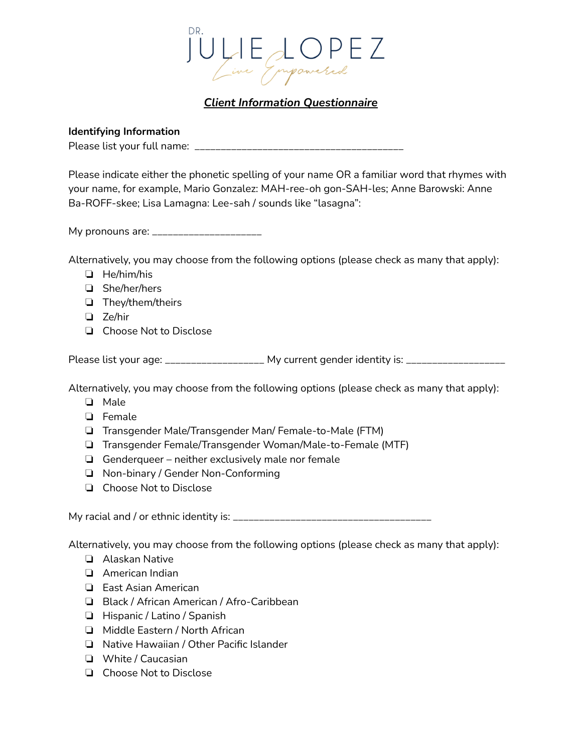

# *Client Information Questionnaire*

### **Identifying Information**

Please list your full name: \_\_\_\_\_\_\_\_\_\_\_\_\_\_\_\_\_\_\_\_\_\_\_\_\_\_\_\_\_\_\_\_\_\_\_\_\_\_\_\_

Please indicate either the phonetic spelling of your name OR a familiar word that rhymes with your name, for example, Mario Gonzalez: MAH-ree-oh gon-SAH-les; Anne Barowski: Anne Ba-ROFF-skee; Lisa Lamagna: Lee-sah / sounds like "lasagna":

My pronouns are: \_\_\_\_\_\_\_\_\_\_\_\_\_\_\_\_\_\_\_\_\_\_

Alternatively, you may choose from the following options (please check as many that apply):

- ❏ He/him/his
- ❏ She/her/hers
- ❏ They/them/theirs
- ❏ Ze/hir
- ❏ Choose Not to Disclose

Please list your age: \_\_\_\_\_\_\_\_\_\_\_\_\_\_\_\_\_\_\_ My current gender identity is: \_\_\_\_\_\_\_\_\_\_\_\_\_\_\_\_\_\_\_

Alternatively, you may choose from the following options (please check as many that apply):

- ❏ Male
- ❏ Female
- ❏ Transgender Male/Transgender Man/ Female-to-Male (FTM)
- ❏ Transgender Female/Transgender Woman/Male-to-Female (MTF)
- ❏ Genderqueer neither exclusively male nor female
- ❏ Non-binary / Gender Non-Conforming
- ❏ Choose Not to Disclose

My racial and / or ethnic identity is: \_\_\_\_\_\_\_\_\_\_\_\_\_\_\_\_\_\_\_\_\_\_\_\_\_\_\_\_\_\_\_\_\_\_\_\_\_\_

Alternatively, you may choose from the following options (please check as many that apply):

- ❏ Alaskan Native
- ❏ American Indian
- ❏ East Asian American
- ❏ Black / African American / Afro-Caribbean
- ❏ Hispanic / Latino / Spanish
- ❏ Middle Eastern / North African
- ❏ Native Hawaiian / Other Pacific Islander
- ❏ White / Caucasian
- ❏ Choose Not to Disclose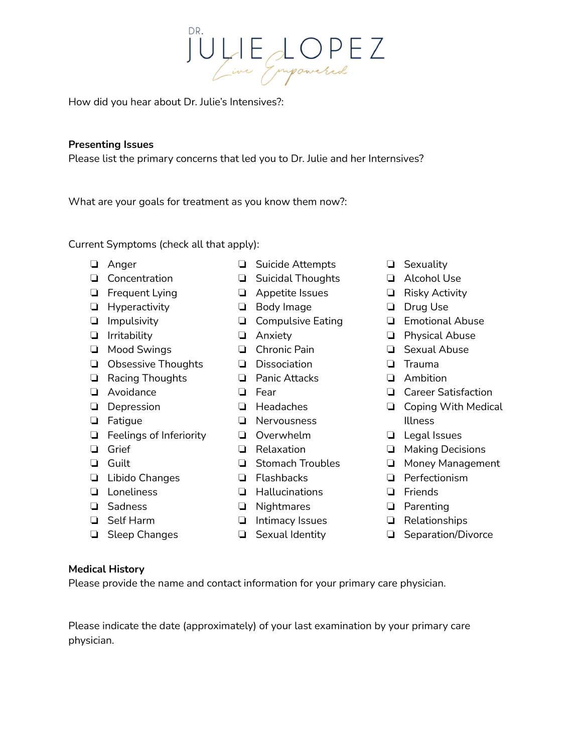JULIE LOPEZ

How did you hear about Dr. Julie's Intensives?:

# **Presenting Issues**

Please list the primary concerns that led you to Dr. Julie and her Internsives?

What are your goals for treatment as you know them now?:

Current Symptoms (check all that apply):

- ❏ Anger
- ❏ Concentration
- ❏ Frequent Lying
- ❏ Hyperactivity
- ❏ Impulsivity
- ❏ Irritability
- ❏ Mood Swings
- ❏ Obsessive Thoughts
- ❏ Racing Thoughts
- ❏ Avoidance
- ❏ Depression
- ❏ Fatigue
- ❏ Feelings of Inferiority
- ❏ Grief
- ❏ Guilt
- ❏ Libido Changes
- ❏ Loneliness
- ❏ Sadness
- ❏ Self Harm
- ❏ Sleep Changes
- ❏ Suicide Attempts
- ❏ Suicidal Thoughts
- ❏ Appetite Issues
- ❏ Body Image
	- ❏ Compulsive Eating
- ❏ Anxiety
- ❏ Chronic Pain
- ❏ Dissociation
- ❏ Panic Attacks
- ❏ Fear
- ❏ Headaches
- ❏ Nervousness
- ❏ Overwhelm
- ❏ Relaxation
- ❏ Stomach Troubles
- ❏ Flashbacks
- ❏ Hallucinations
- ❏ Nightmares
- ❏ Intimacy Issues
- ❏ Sexual Identity
- ❏ Sexuality
- ❏ Alcohol Use
- ❏ Risky Activity
- ❏ Drug Use
- ❏ Emotional Abuse
- ❏ Physical Abuse
- ❏ Sexual Abuse
- ❏ Trauma
- ❏ Ambition
- ❏ Career Satisfaction
- ❏ Coping With Medical Illness
- ❏ Legal Issues
- ❏ Making Decisions
- ❏ Money Management
- ❏ Perfectionism
- ❏ Friends
- ❏ Parenting
- ❏ Relationships
- ❏ Separation/Divorce

### **Medical History**

Please provide the name and contact information for your primary care physician.

Please indicate the date (approximately) of your last examination by your primary care physician.

- 
- 
- 
- 
- 
- 
- 
- 
- 
- 
- 
-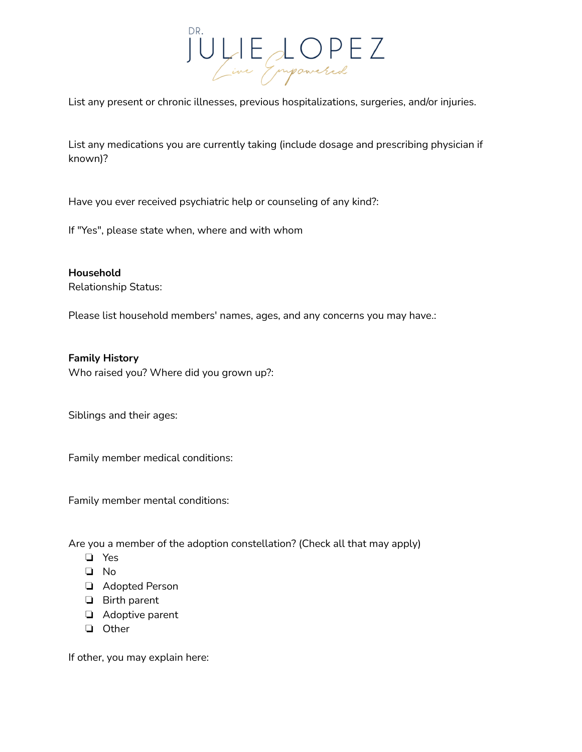

List any present or chronic illnesses, previous hospitalizations, surgeries, and/or injuries.

List any medications you are currently taking (include dosage and prescribing physician if known)?

Have you ever received psychiatric help or counseling of any kind?:

If "Yes", please state when, where and with whom

**Household** Relationship Status:

Please list household members' names, ages, and any concerns you may have.:

**Family History** Who raised you? Where did you grown up?:

Siblings and their ages:

Family member medical conditions:

Family member mental conditions:

Are you a member of the adoption constellation? (Check all that may apply)

- ❏ Yes
- ❏ No
- ❏ Adopted Person
- ❏ Birth parent
- ❏ Adoptive parent
- ❏ Other

If other, you may explain here: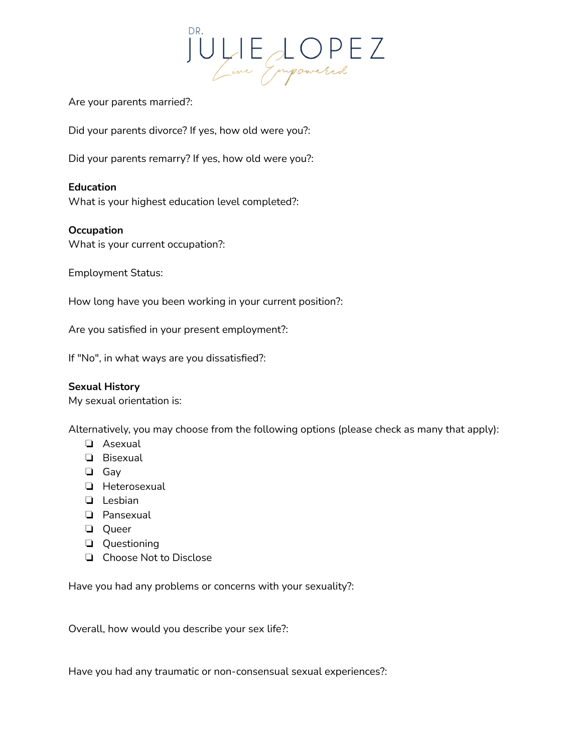

Are your parents married?:

Did your parents divorce? If yes, how old were you?:

Did your parents remarry? If yes, how old were you?:

# **Education**

What is your highest education level completed?:

### **Occupation**

What is your current occupation?:

Employment Status:

How long have you been working in your current position?:

Are you satisfied in your present employment?:

If "No", in what ways are you dissatisfied?:

#### **Sexual History**

My sexual orientation is:

Alternatively, you may choose from the following options (please check as many that apply):

- ❏ Asexual
- ❏ Bisexual
- ❏ Gay
- ❏ Heterosexual
- ❏ Lesbian
- ❏ Pansexual
- ❏ Queer
- ❏ Questioning
- ❏ Choose Not to Disclose

Have you had any problems or concerns with your sexuality?:

Overall, how would you describe your sex life?:

Have you had any traumatic or non-consensual sexual experiences?: